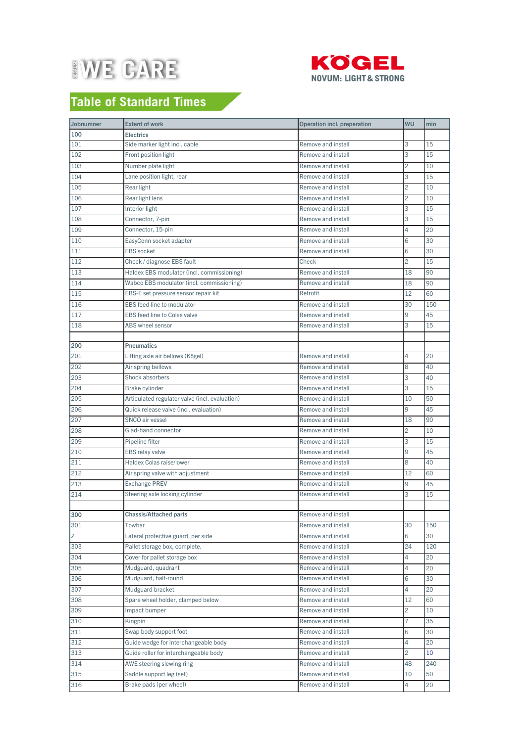



## **Table of Standard Times**

| 100<br><b>Electrics</b><br>Side marker light incl. cable<br>Remove and install<br>3<br>101<br>15<br>3<br>102<br>Front position light<br>Remove and install<br>15<br>$\overline{c}$<br>Number plate light<br>Remove and install<br>103<br>10<br>Lane position light, rear<br>3<br>104<br>Remove and install<br>15<br>$\overline{c}$<br>10<br>105<br>Rear light<br>Remove and install<br>Rear light lens<br>106<br>Remove and install<br>2<br>10<br>3<br>107<br>Interior light<br>Remove and install<br>15<br>Connector, 7-pin<br>3<br>Remove and install<br>15<br>108<br>Connector, 15-pin<br>4<br>20<br>109<br>Remove and install<br>EasyConn socket adapter<br>Remove and install<br>30<br>110<br>6<br><b>EBS</b> socket<br>111<br>Remove and install<br>6<br>30<br>112<br>Check / diagnose EBS fault<br>Check<br>2<br>15<br>113<br>90<br>Haldex EBS modulator (incl. commissioning)<br>Remove and install<br>18<br>114<br>Wabco EBS modulator (incl. commissioning)<br>Remove and install<br>90<br>18<br>115<br>EBS-E set pressure sensor repair kit<br>Retrofit<br>12<br>60<br>116<br>EBS feed line to modulator<br>30<br>150<br>Remove and install<br>EBS feed line to Colas valve<br>117<br>Remove and install<br>9<br>45<br>118<br>3<br>ABS wheel sensor<br>Remove and install<br>15<br><b>Pneumatics</b><br>200<br>Lifting axle air bellows (Kögel)<br>4<br>20<br>201<br>Remove and install<br>8<br>202<br>Air spring bellows<br>Remove and install<br>40<br>3<br>203<br>Shock absorbers<br>Remove and install<br>40<br>3<br>15<br>204<br>Brake cylinder<br>Remove and install<br>Articulated regulator valve (incl. evaluation)<br>50<br>205<br>Remove and install<br>10<br>9<br>Quick release valve (incl. evaluation)<br>45<br>206<br>Remove and install<br>SNCO air vessel<br>Remove and install<br>207<br>18<br>90<br>$\overline{c}$<br>208<br>Glad-hand connector<br>Remove and install<br>10<br>209<br>Pipeline filter<br>Remove and install<br>3<br>15<br>45<br>210<br><b>EBS relay valve</b><br>Remove and install<br>9<br>Haldex Colas raise/lower<br>8<br>40<br>211<br>Remove and install<br>212<br>Air spring valve with adjustment<br>Remove and install<br>12<br>60<br>213<br><b>Exchange PREV</b><br>9<br>45<br>Remove and install<br>Steering axle locking cylinder<br>Remove and install<br>15<br>214<br>3<br>300<br>Chassis/Attached parts<br>Remove and install<br>Remove and install<br>301<br>30<br>150<br>Towbar<br>Z<br>Lateral protective guard, per side<br>Remove and install<br>6<br>30<br>303<br>24<br>120<br>Pallet storage box, complete.<br>Remove and install<br>Cover for pallet storage box<br>Remove and install<br>304<br>4<br>20<br>305<br>Mudguard, quadrant<br>Remove and install<br>4<br>20<br>Mudguard, half-round<br>6<br>306<br>Remove and install<br>30<br>Mudguard bracket<br>307<br>Remove and install<br>4<br>20<br>308<br>Spare wheel holder, clamped below<br>Remove and install<br>12<br>60<br>Remove and install<br>2<br>309<br>Impact bumper<br>10<br>7<br>310<br>Remove and install<br>35<br>Kingpin<br>Swap body support foot<br>Remove and install<br>311<br>6<br>30<br>Guide wedge for interchangeable body<br>312<br>Remove and install<br>20<br>4<br>Guide roller for interchangeable body<br>313<br>Remove and install<br>2<br>10<br>314<br>AWE steering slewing ring<br>Remove and install<br>48<br>240<br>315<br>Saddle support leg (set)<br>Remove and install<br>10<br>50<br>Brake pads (per wheel)<br>316<br>Remove and install<br>4<br>20 | Jobnumner | <b>Extent of work</b> | Operation incl. preperation | WU | min |
|-------------------------------------------------------------------------------------------------------------------------------------------------------------------------------------------------------------------------------------------------------------------------------------------------------------------------------------------------------------------------------------------------------------------------------------------------------------------------------------------------------------------------------------------------------------------------------------------------------------------------------------------------------------------------------------------------------------------------------------------------------------------------------------------------------------------------------------------------------------------------------------------------------------------------------------------------------------------------------------------------------------------------------------------------------------------------------------------------------------------------------------------------------------------------------------------------------------------------------------------------------------------------------------------------------------------------------------------------------------------------------------------------------------------------------------------------------------------------------------------------------------------------------------------------------------------------------------------------------------------------------------------------------------------------------------------------------------------------------------------------------------------------------------------------------------------------------------------------------------------------------------------------------------------------------------------------------------------------------------------------------------------------------------------------------------------------------------------------------------------------------------------------------------------------------------------------------------------------------------------------------------------------------------------------------------------------------------------------------------------------------------------------------------------------------------------------------------------------------------------------------------------------------------------------------------------------------------------------------------------------------------------------------------------------------------------------------------------------------------------------------------------------------------------------------------------------------------------------------------------------------------------------------------------------------------------------------------------------------------------------------------------------------------------------------------------------------------------------------------------------------------------------------------------------------------------------------------------------------------------------------------------------------------------------------------------------------------------------------------------------------------------------------------------------------------------------------------------------------------------------------------------|-----------|-----------------------|-----------------------------|----|-----|
|                                                                                                                                                                                                                                                                                                                                                                                                                                                                                                                                                                                                                                                                                                                                                                                                                                                                                                                                                                                                                                                                                                                                                                                                                                                                                                                                                                                                                                                                                                                                                                                                                                                                                                                                                                                                                                                                                                                                                                                                                                                                                                                                                                                                                                                                                                                                                                                                                                                                                                                                                                                                                                                                                                                                                                                                                                                                                                                                                                                                                                                                                                                                                                                                                                                                                                                                                                                                                                                                                                                   |           |                       |                             |    |     |
|                                                                                                                                                                                                                                                                                                                                                                                                                                                                                                                                                                                                                                                                                                                                                                                                                                                                                                                                                                                                                                                                                                                                                                                                                                                                                                                                                                                                                                                                                                                                                                                                                                                                                                                                                                                                                                                                                                                                                                                                                                                                                                                                                                                                                                                                                                                                                                                                                                                                                                                                                                                                                                                                                                                                                                                                                                                                                                                                                                                                                                                                                                                                                                                                                                                                                                                                                                                                                                                                                                                   |           |                       |                             |    |     |
|                                                                                                                                                                                                                                                                                                                                                                                                                                                                                                                                                                                                                                                                                                                                                                                                                                                                                                                                                                                                                                                                                                                                                                                                                                                                                                                                                                                                                                                                                                                                                                                                                                                                                                                                                                                                                                                                                                                                                                                                                                                                                                                                                                                                                                                                                                                                                                                                                                                                                                                                                                                                                                                                                                                                                                                                                                                                                                                                                                                                                                                                                                                                                                                                                                                                                                                                                                                                                                                                                                                   |           |                       |                             |    |     |
|                                                                                                                                                                                                                                                                                                                                                                                                                                                                                                                                                                                                                                                                                                                                                                                                                                                                                                                                                                                                                                                                                                                                                                                                                                                                                                                                                                                                                                                                                                                                                                                                                                                                                                                                                                                                                                                                                                                                                                                                                                                                                                                                                                                                                                                                                                                                                                                                                                                                                                                                                                                                                                                                                                                                                                                                                                                                                                                                                                                                                                                                                                                                                                                                                                                                                                                                                                                                                                                                                                                   |           |                       |                             |    |     |
|                                                                                                                                                                                                                                                                                                                                                                                                                                                                                                                                                                                                                                                                                                                                                                                                                                                                                                                                                                                                                                                                                                                                                                                                                                                                                                                                                                                                                                                                                                                                                                                                                                                                                                                                                                                                                                                                                                                                                                                                                                                                                                                                                                                                                                                                                                                                                                                                                                                                                                                                                                                                                                                                                                                                                                                                                                                                                                                                                                                                                                                                                                                                                                                                                                                                                                                                                                                                                                                                                                                   |           |                       |                             |    |     |
|                                                                                                                                                                                                                                                                                                                                                                                                                                                                                                                                                                                                                                                                                                                                                                                                                                                                                                                                                                                                                                                                                                                                                                                                                                                                                                                                                                                                                                                                                                                                                                                                                                                                                                                                                                                                                                                                                                                                                                                                                                                                                                                                                                                                                                                                                                                                                                                                                                                                                                                                                                                                                                                                                                                                                                                                                                                                                                                                                                                                                                                                                                                                                                                                                                                                                                                                                                                                                                                                                                                   |           |                       |                             |    |     |
|                                                                                                                                                                                                                                                                                                                                                                                                                                                                                                                                                                                                                                                                                                                                                                                                                                                                                                                                                                                                                                                                                                                                                                                                                                                                                                                                                                                                                                                                                                                                                                                                                                                                                                                                                                                                                                                                                                                                                                                                                                                                                                                                                                                                                                                                                                                                                                                                                                                                                                                                                                                                                                                                                                                                                                                                                                                                                                                                                                                                                                                                                                                                                                                                                                                                                                                                                                                                                                                                                                                   |           |                       |                             |    |     |
|                                                                                                                                                                                                                                                                                                                                                                                                                                                                                                                                                                                                                                                                                                                                                                                                                                                                                                                                                                                                                                                                                                                                                                                                                                                                                                                                                                                                                                                                                                                                                                                                                                                                                                                                                                                                                                                                                                                                                                                                                                                                                                                                                                                                                                                                                                                                                                                                                                                                                                                                                                                                                                                                                                                                                                                                                                                                                                                                                                                                                                                                                                                                                                                                                                                                                                                                                                                                                                                                                                                   |           |                       |                             |    |     |
|                                                                                                                                                                                                                                                                                                                                                                                                                                                                                                                                                                                                                                                                                                                                                                                                                                                                                                                                                                                                                                                                                                                                                                                                                                                                                                                                                                                                                                                                                                                                                                                                                                                                                                                                                                                                                                                                                                                                                                                                                                                                                                                                                                                                                                                                                                                                                                                                                                                                                                                                                                                                                                                                                                                                                                                                                                                                                                                                                                                                                                                                                                                                                                                                                                                                                                                                                                                                                                                                                                                   |           |                       |                             |    |     |
|                                                                                                                                                                                                                                                                                                                                                                                                                                                                                                                                                                                                                                                                                                                                                                                                                                                                                                                                                                                                                                                                                                                                                                                                                                                                                                                                                                                                                                                                                                                                                                                                                                                                                                                                                                                                                                                                                                                                                                                                                                                                                                                                                                                                                                                                                                                                                                                                                                                                                                                                                                                                                                                                                                                                                                                                                                                                                                                                                                                                                                                                                                                                                                                                                                                                                                                                                                                                                                                                                                                   |           |                       |                             |    |     |
|                                                                                                                                                                                                                                                                                                                                                                                                                                                                                                                                                                                                                                                                                                                                                                                                                                                                                                                                                                                                                                                                                                                                                                                                                                                                                                                                                                                                                                                                                                                                                                                                                                                                                                                                                                                                                                                                                                                                                                                                                                                                                                                                                                                                                                                                                                                                                                                                                                                                                                                                                                                                                                                                                                                                                                                                                                                                                                                                                                                                                                                                                                                                                                                                                                                                                                                                                                                                                                                                                                                   |           |                       |                             |    |     |
|                                                                                                                                                                                                                                                                                                                                                                                                                                                                                                                                                                                                                                                                                                                                                                                                                                                                                                                                                                                                                                                                                                                                                                                                                                                                                                                                                                                                                                                                                                                                                                                                                                                                                                                                                                                                                                                                                                                                                                                                                                                                                                                                                                                                                                                                                                                                                                                                                                                                                                                                                                                                                                                                                                                                                                                                                                                                                                                                                                                                                                                                                                                                                                                                                                                                                                                                                                                                                                                                                                                   |           |                       |                             |    |     |
|                                                                                                                                                                                                                                                                                                                                                                                                                                                                                                                                                                                                                                                                                                                                                                                                                                                                                                                                                                                                                                                                                                                                                                                                                                                                                                                                                                                                                                                                                                                                                                                                                                                                                                                                                                                                                                                                                                                                                                                                                                                                                                                                                                                                                                                                                                                                                                                                                                                                                                                                                                                                                                                                                                                                                                                                                                                                                                                                                                                                                                                                                                                                                                                                                                                                                                                                                                                                                                                                                                                   |           |                       |                             |    |     |
|                                                                                                                                                                                                                                                                                                                                                                                                                                                                                                                                                                                                                                                                                                                                                                                                                                                                                                                                                                                                                                                                                                                                                                                                                                                                                                                                                                                                                                                                                                                                                                                                                                                                                                                                                                                                                                                                                                                                                                                                                                                                                                                                                                                                                                                                                                                                                                                                                                                                                                                                                                                                                                                                                                                                                                                                                                                                                                                                                                                                                                                                                                                                                                                                                                                                                                                                                                                                                                                                                                                   |           |                       |                             |    |     |
|                                                                                                                                                                                                                                                                                                                                                                                                                                                                                                                                                                                                                                                                                                                                                                                                                                                                                                                                                                                                                                                                                                                                                                                                                                                                                                                                                                                                                                                                                                                                                                                                                                                                                                                                                                                                                                                                                                                                                                                                                                                                                                                                                                                                                                                                                                                                                                                                                                                                                                                                                                                                                                                                                                                                                                                                                                                                                                                                                                                                                                                                                                                                                                                                                                                                                                                                                                                                                                                                                                                   |           |                       |                             |    |     |
|                                                                                                                                                                                                                                                                                                                                                                                                                                                                                                                                                                                                                                                                                                                                                                                                                                                                                                                                                                                                                                                                                                                                                                                                                                                                                                                                                                                                                                                                                                                                                                                                                                                                                                                                                                                                                                                                                                                                                                                                                                                                                                                                                                                                                                                                                                                                                                                                                                                                                                                                                                                                                                                                                                                                                                                                                                                                                                                                                                                                                                                                                                                                                                                                                                                                                                                                                                                                                                                                                                                   |           |                       |                             |    |     |
|                                                                                                                                                                                                                                                                                                                                                                                                                                                                                                                                                                                                                                                                                                                                                                                                                                                                                                                                                                                                                                                                                                                                                                                                                                                                                                                                                                                                                                                                                                                                                                                                                                                                                                                                                                                                                                                                                                                                                                                                                                                                                                                                                                                                                                                                                                                                                                                                                                                                                                                                                                                                                                                                                                                                                                                                                                                                                                                                                                                                                                                                                                                                                                                                                                                                                                                                                                                                                                                                                                                   |           |                       |                             |    |     |
|                                                                                                                                                                                                                                                                                                                                                                                                                                                                                                                                                                                                                                                                                                                                                                                                                                                                                                                                                                                                                                                                                                                                                                                                                                                                                                                                                                                                                                                                                                                                                                                                                                                                                                                                                                                                                                                                                                                                                                                                                                                                                                                                                                                                                                                                                                                                                                                                                                                                                                                                                                                                                                                                                                                                                                                                                                                                                                                                                                                                                                                                                                                                                                                                                                                                                                                                                                                                                                                                                                                   |           |                       |                             |    |     |
|                                                                                                                                                                                                                                                                                                                                                                                                                                                                                                                                                                                                                                                                                                                                                                                                                                                                                                                                                                                                                                                                                                                                                                                                                                                                                                                                                                                                                                                                                                                                                                                                                                                                                                                                                                                                                                                                                                                                                                                                                                                                                                                                                                                                                                                                                                                                                                                                                                                                                                                                                                                                                                                                                                                                                                                                                                                                                                                                                                                                                                                                                                                                                                                                                                                                                                                                                                                                                                                                                                                   |           |                       |                             |    |     |
|                                                                                                                                                                                                                                                                                                                                                                                                                                                                                                                                                                                                                                                                                                                                                                                                                                                                                                                                                                                                                                                                                                                                                                                                                                                                                                                                                                                                                                                                                                                                                                                                                                                                                                                                                                                                                                                                                                                                                                                                                                                                                                                                                                                                                                                                                                                                                                                                                                                                                                                                                                                                                                                                                                                                                                                                                                                                                                                                                                                                                                                                                                                                                                                                                                                                                                                                                                                                                                                                                                                   |           |                       |                             |    |     |
|                                                                                                                                                                                                                                                                                                                                                                                                                                                                                                                                                                                                                                                                                                                                                                                                                                                                                                                                                                                                                                                                                                                                                                                                                                                                                                                                                                                                                                                                                                                                                                                                                                                                                                                                                                                                                                                                                                                                                                                                                                                                                                                                                                                                                                                                                                                                                                                                                                                                                                                                                                                                                                                                                                                                                                                                                                                                                                                                                                                                                                                                                                                                                                                                                                                                                                                                                                                                                                                                                                                   |           |                       |                             |    |     |
|                                                                                                                                                                                                                                                                                                                                                                                                                                                                                                                                                                                                                                                                                                                                                                                                                                                                                                                                                                                                                                                                                                                                                                                                                                                                                                                                                                                                                                                                                                                                                                                                                                                                                                                                                                                                                                                                                                                                                                                                                                                                                                                                                                                                                                                                                                                                                                                                                                                                                                                                                                                                                                                                                                                                                                                                                                                                                                                                                                                                                                                                                                                                                                                                                                                                                                                                                                                                                                                                                                                   |           |                       |                             |    |     |
|                                                                                                                                                                                                                                                                                                                                                                                                                                                                                                                                                                                                                                                                                                                                                                                                                                                                                                                                                                                                                                                                                                                                                                                                                                                                                                                                                                                                                                                                                                                                                                                                                                                                                                                                                                                                                                                                                                                                                                                                                                                                                                                                                                                                                                                                                                                                                                                                                                                                                                                                                                                                                                                                                                                                                                                                                                                                                                                                                                                                                                                                                                                                                                                                                                                                                                                                                                                                                                                                                                                   |           |                       |                             |    |     |
|                                                                                                                                                                                                                                                                                                                                                                                                                                                                                                                                                                                                                                                                                                                                                                                                                                                                                                                                                                                                                                                                                                                                                                                                                                                                                                                                                                                                                                                                                                                                                                                                                                                                                                                                                                                                                                                                                                                                                                                                                                                                                                                                                                                                                                                                                                                                                                                                                                                                                                                                                                                                                                                                                                                                                                                                                                                                                                                                                                                                                                                                                                                                                                                                                                                                                                                                                                                                                                                                                                                   |           |                       |                             |    |     |
|                                                                                                                                                                                                                                                                                                                                                                                                                                                                                                                                                                                                                                                                                                                                                                                                                                                                                                                                                                                                                                                                                                                                                                                                                                                                                                                                                                                                                                                                                                                                                                                                                                                                                                                                                                                                                                                                                                                                                                                                                                                                                                                                                                                                                                                                                                                                                                                                                                                                                                                                                                                                                                                                                                                                                                                                                                                                                                                                                                                                                                                                                                                                                                                                                                                                                                                                                                                                                                                                                                                   |           |                       |                             |    |     |
|                                                                                                                                                                                                                                                                                                                                                                                                                                                                                                                                                                                                                                                                                                                                                                                                                                                                                                                                                                                                                                                                                                                                                                                                                                                                                                                                                                                                                                                                                                                                                                                                                                                                                                                                                                                                                                                                                                                                                                                                                                                                                                                                                                                                                                                                                                                                                                                                                                                                                                                                                                                                                                                                                                                                                                                                                                                                                                                                                                                                                                                                                                                                                                                                                                                                                                                                                                                                                                                                                                                   |           |                       |                             |    |     |
|                                                                                                                                                                                                                                                                                                                                                                                                                                                                                                                                                                                                                                                                                                                                                                                                                                                                                                                                                                                                                                                                                                                                                                                                                                                                                                                                                                                                                                                                                                                                                                                                                                                                                                                                                                                                                                                                                                                                                                                                                                                                                                                                                                                                                                                                                                                                                                                                                                                                                                                                                                                                                                                                                                                                                                                                                                                                                                                                                                                                                                                                                                                                                                                                                                                                                                                                                                                                                                                                                                                   |           |                       |                             |    |     |
|                                                                                                                                                                                                                                                                                                                                                                                                                                                                                                                                                                                                                                                                                                                                                                                                                                                                                                                                                                                                                                                                                                                                                                                                                                                                                                                                                                                                                                                                                                                                                                                                                                                                                                                                                                                                                                                                                                                                                                                                                                                                                                                                                                                                                                                                                                                                                                                                                                                                                                                                                                                                                                                                                                                                                                                                                                                                                                                                                                                                                                                                                                                                                                                                                                                                                                                                                                                                                                                                                                                   |           |                       |                             |    |     |
|                                                                                                                                                                                                                                                                                                                                                                                                                                                                                                                                                                                                                                                                                                                                                                                                                                                                                                                                                                                                                                                                                                                                                                                                                                                                                                                                                                                                                                                                                                                                                                                                                                                                                                                                                                                                                                                                                                                                                                                                                                                                                                                                                                                                                                                                                                                                                                                                                                                                                                                                                                                                                                                                                                                                                                                                                                                                                                                                                                                                                                                                                                                                                                                                                                                                                                                                                                                                                                                                                                                   |           |                       |                             |    |     |
|                                                                                                                                                                                                                                                                                                                                                                                                                                                                                                                                                                                                                                                                                                                                                                                                                                                                                                                                                                                                                                                                                                                                                                                                                                                                                                                                                                                                                                                                                                                                                                                                                                                                                                                                                                                                                                                                                                                                                                                                                                                                                                                                                                                                                                                                                                                                                                                                                                                                                                                                                                                                                                                                                                                                                                                                                                                                                                                                                                                                                                                                                                                                                                                                                                                                                                                                                                                                                                                                                                                   |           |                       |                             |    |     |
|                                                                                                                                                                                                                                                                                                                                                                                                                                                                                                                                                                                                                                                                                                                                                                                                                                                                                                                                                                                                                                                                                                                                                                                                                                                                                                                                                                                                                                                                                                                                                                                                                                                                                                                                                                                                                                                                                                                                                                                                                                                                                                                                                                                                                                                                                                                                                                                                                                                                                                                                                                                                                                                                                                                                                                                                                                                                                                                                                                                                                                                                                                                                                                                                                                                                                                                                                                                                                                                                                                                   |           |                       |                             |    |     |
|                                                                                                                                                                                                                                                                                                                                                                                                                                                                                                                                                                                                                                                                                                                                                                                                                                                                                                                                                                                                                                                                                                                                                                                                                                                                                                                                                                                                                                                                                                                                                                                                                                                                                                                                                                                                                                                                                                                                                                                                                                                                                                                                                                                                                                                                                                                                                                                                                                                                                                                                                                                                                                                                                                                                                                                                                                                                                                                                                                                                                                                                                                                                                                                                                                                                                                                                                                                                                                                                                                                   |           |                       |                             |    |     |
|                                                                                                                                                                                                                                                                                                                                                                                                                                                                                                                                                                                                                                                                                                                                                                                                                                                                                                                                                                                                                                                                                                                                                                                                                                                                                                                                                                                                                                                                                                                                                                                                                                                                                                                                                                                                                                                                                                                                                                                                                                                                                                                                                                                                                                                                                                                                                                                                                                                                                                                                                                                                                                                                                                                                                                                                                                                                                                                                                                                                                                                                                                                                                                                                                                                                                                                                                                                                                                                                                                                   |           |                       |                             |    |     |
|                                                                                                                                                                                                                                                                                                                                                                                                                                                                                                                                                                                                                                                                                                                                                                                                                                                                                                                                                                                                                                                                                                                                                                                                                                                                                                                                                                                                                                                                                                                                                                                                                                                                                                                                                                                                                                                                                                                                                                                                                                                                                                                                                                                                                                                                                                                                                                                                                                                                                                                                                                                                                                                                                                                                                                                                                                                                                                                                                                                                                                                                                                                                                                                                                                                                                                                                                                                                                                                                                                                   |           |                       |                             |    |     |
|                                                                                                                                                                                                                                                                                                                                                                                                                                                                                                                                                                                                                                                                                                                                                                                                                                                                                                                                                                                                                                                                                                                                                                                                                                                                                                                                                                                                                                                                                                                                                                                                                                                                                                                                                                                                                                                                                                                                                                                                                                                                                                                                                                                                                                                                                                                                                                                                                                                                                                                                                                                                                                                                                                                                                                                                                                                                                                                                                                                                                                                                                                                                                                                                                                                                                                                                                                                                                                                                                                                   |           |                       |                             |    |     |
|                                                                                                                                                                                                                                                                                                                                                                                                                                                                                                                                                                                                                                                                                                                                                                                                                                                                                                                                                                                                                                                                                                                                                                                                                                                                                                                                                                                                                                                                                                                                                                                                                                                                                                                                                                                                                                                                                                                                                                                                                                                                                                                                                                                                                                                                                                                                                                                                                                                                                                                                                                                                                                                                                                                                                                                                                                                                                                                                                                                                                                                                                                                                                                                                                                                                                                                                                                                                                                                                                                                   |           |                       |                             |    |     |
|                                                                                                                                                                                                                                                                                                                                                                                                                                                                                                                                                                                                                                                                                                                                                                                                                                                                                                                                                                                                                                                                                                                                                                                                                                                                                                                                                                                                                                                                                                                                                                                                                                                                                                                                                                                                                                                                                                                                                                                                                                                                                                                                                                                                                                                                                                                                                                                                                                                                                                                                                                                                                                                                                                                                                                                                                                                                                                                                                                                                                                                                                                                                                                                                                                                                                                                                                                                                                                                                                                                   |           |                       |                             |    |     |
|                                                                                                                                                                                                                                                                                                                                                                                                                                                                                                                                                                                                                                                                                                                                                                                                                                                                                                                                                                                                                                                                                                                                                                                                                                                                                                                                                                                                                                                                                                                                                                                                                                                                                                                                                                                                                                                                                                                                                                                                                                                                                                                                                                                                                                                                                                                                                                                                                                                                                                                                                                                                                                                                                                                                                                                                                                                                                                                                                                                                                                                                                                                                                                                                                                                                                                                                                                                                                                                                                                                   |           |                       |                             |    |     |
|                                                                                                                                                                                                                                                                                                                                                                                                                                                                                                                                                                                                                                                                                                                                                                                                                                                                                                                                                                                                                                                                                                                                                                                                                                                                                                                                                                                                                                                                                                                                                                                                                                                                                                                                                                                                                                                                                                                                                                                                                                                                                                                                                                                                                                                                                                                                                                                                                                                                                                                                                                                                                                                                                                                                                                                                                                                                                                                                                                                                                                                                                                                                                                                                                                                                                                                                                                                                                                                                                                                   |           |                       |                             |    |     |
|                                                                                                                                                                                                                                                                                                                                                                                                                                                                                                                                                                                                                                                                                                                                                                                                                                                                                                                                                                                                                                                                                                                                                                                                                                                                                                                                                                                                                                                                                                                                                                                                                                                                                                                                                                                                                                                                                                                                                                                                                                                                                                                                                                                                                                                                                                                                                                                                                                                                                                                                                                                                                                                                                                                                                                                                                                                                                                                                                                                                                                                                                                                                                                                                                                                                                                                                                                                                                                                                                                                   |           |                       |                             |    |     |
|                                                                                                                                                                                                                                                                                                                                                                                                                                                                                                                                                                                                                                                                                                                                                                                                                                                                                                                                                                                                                                                                                                                                                                                                                                                                                                                                                                                                                                                                                                                                                                                                                                                                                                                                                                                                                                                                                                                                                                                                                                                                                                                                                                                                                                                                                                                                                                                                                                                                                                                                                                                                                                                                                                                                                                                                                                                                                                                                                                                                                                                                                                                                                                                                                                                                                                                                                                                                                                                                                                                   |           |                       |                             |    |     |
|                                                                                                                                                                                                                                                                                                                                                                                                                                                                                                                                                                                                                                                                                                                                                                                                                                                                                                                                                                                                                                                                                                                                                                                                                                                                                                                                                                                                                                                                                                                                                                                                                                                                                                                                                                                                                                                                                                                                                                                                                                                                                                                                                                                                                                                                                                                                                                                                                                                                                                                                                                                                                                                                                                                                                                                                                                                                                                                                                                                                                                                                                                                                                                                                                                                                                                                                                                                                                                                                                                                   |           |                       |                             |    |     |
|                                                                                                                                                                                                                                                                                                                                                                                                                                                                                                                                                                                                                                                                                                                                                                                                                                                                                                                                                                                                                                                                                                                                                                                                                                                                                                                                                                                                                                                                                                                                                                                                                                                                                                                                                                                                                                                                                                                                                                                                                                                                                                                                                                                                                                                                                                                                                                                                                                                                                                                                                                                                                                                                                                                                                                                                                                                                                                                                                                                                                                                                                                                                                                                                                                                                                                                                                                                                                                                                                                                   |           |                       |                             |    |     |
|                                                                                                                                                                                                                                                                                                                                                                                                                                                                                                                                                                                                                                                                                                                                                                                                                                                                                                                                                                                                                                                                                                                                                                                                                                                                                                                                                                                                                                                                                                                                                                                                                                                                                                                                                                                                                                                                                                                                                                                                                                                                                                                                                                                                                                                                                                                                                                                                                                                                                                                                                                                                                                                                                                                                                                                                                                                                                                                                                                                                                                                                                                                                                                                                                                                                                                                                                                                                                                                                                                                   |           |                       |                             |    |     |
|                                                                                                                                                                                                                                                                                                                                                                                                                                                                                                                                                                                                                                                                                                                                                                                                                                                                                                                                                                                                                                                                                                                                                                                                                                                                                                                                                                                                                                                                                                                                                                                                                                                                                                                                                                                                                                                                                                                                                                                                                                                                                                                                                                                                                                                                                                                                                                                                                                                                                                                                                                                                                                                                                                                                                                                                                                                                                                                                                                                                                                                                                                                                                                                                                                                                                                                                                                                                                                                                                                                   |           |                       |                             |    |     |
|                                                                                                                                                                                                                                                                                                                                                                                                                                                                                                                                                                                                                                                                                                                                                                                                                                                                                                                                                                                                                                                                                                                                                                                                                                                                                                                                                                                                                                                                                                                                                                                                                                                                                                                                                                                                                                                                                                                                                                                                                                                                                                                                                                                                                                                                                                                                                                                                                                                                                                                                                                                                                                                                                                                                                                                                                                                                                                                                                                                                                                                                                                                                                                                                                                                                                                                                                                                                                                                                                                                   |           |                       |                             |    |     |
|                                                                                                                                                                                                                                                                                                                                                                                                                                                                                                                                                                                                                                                                                                                                                                                                                                                                                                                                                                                                                                                                                                                                                                                                                                                                                                                                                                                                                                                                                                                                                                                                                                                                                                                                                                                                                                                                                                                                                                                                                                                                                                                                                                                                                                                                                                                                                                                                                                                                                                                                                                                                                                                                                                                                                                                                                                                                                                                                                                                                                                                                                                                                                                                                                                                                                                                                                                                                                                                                                                                   |           |                       |                             |    |     |
|                                                                                                                                                                                                                                                                                                                                                                                                                                                                                                                                                                                                                                                                                                                                                                                                                                                                                                                                                                                                                                                                                                                                                                                                                                                                                                                                                                                                                                                                                                                                                                                                                                                                                                                                                                                                                                                                                                                                                                                                                                                                                                                                                                                                                                                                                                                                                                                                                                                                                                                                                                                                                                                                                                                                                                                                                                                                                                                                                                                                                                                                                                                                                                                                                                                                                                                                                                                                                                                                                                                   |           |                       |                             |    |     |
|                                                                                                                                                                                                                                                                                                                                                                                                                                                                                                                                                                                                                                                                                                                                                                                                                                                                                                                                                                                                                                                                                                                                                                                                                                                                                                                                                                                                                                                                                                                                                                                                                                                                                                                                                                                                                                                                                                                                                                                                                                                                                                                                                                                                                                                                                                                                                                                                                                                                                                                                                                                                                                                                                                                                                                                                                                                                                                                                                                                                                                                                                                                                                                                                                                                                                                                                                                                                                                                                                                                   |           |                       |                             |    |     |
|                                                                                                                                                                                                                                                                                                                                                                                                                                                                                                                                                                                                                                                                                                                                                                                                                                                                                                                                                                                                                                                                                                                                                                                                                                                                                                                                                                                                                                                                                                                                                                                                                                                                                                                                                                                                                                                                                                                                                                                                                                                                                                                                                                                                                                                                                                                                                                                                                                                                                                                                                                                                                                                                                                                                                                                                                                                                                                                                                                                                                                                                                                                                                                                                                                                                                                                                                                                                                                                                                                                   |           |                       |                             |    |     |
|                                                                                                                                                                                                                                                                                                                                                                                                                                                                                                                                                                                                                                                                                                                                                                                                                                                                                                                                                                                                                                                                                                                                                                                                                                                                                                                                                                                                                                                                                                                                                                                                                                                                                                                                                                                                                                                                                                                                                                                                                                                                                                                                                                                                                                                                                                                                                                                                                                                                                                                                                                                                                                                                                                                                                                                                                                                                                                                                                                                                                                                                                                                                                                                                                                                                                                                                                                                                                                                                                                                   |           |                       |                             |    |     |
|                                                                                                                                                                                                                                                                                                                                                                                                                                                                                                                                                                                                                                                                                                                                                                                                                                                                                                                                                                                                                                                                                                                                                                                                                                                                                                                                                                                                                                                                                                                                                                                                                                                                                                                                                                                                                                                                                                                                                                                                                                                                                                                                                                                                                                                                                                                                                                                                                                                                                                                                                                                                                                                                                                                                                                                                                                                                                                                                                                                                                                                                                                                                                                                                                                                                                                                                                                                                                                                                                                                   |           |                       |                             |    |     |
|                                                                                                                                                                                                                                                                                                                                                                                                                                                                                                                                                                                                                                                                                                                                                                                                                                                                                                                                                                                                                                                                                                                                                                                                                                                                                                                                                                                                                                                                                                                                                                                                                                                                                                                                                                                                                                                                                                                                                                                                                                                                                                                                                                                                                                                                                                                                                                                                                                                                                                                                                                                                                                                                                                                                                                                                                                                                                                                                                                                                                                                                                                                                                                                                                                                                                                                                                                                                                                                                                                                   |           |                       |                             |    |     |